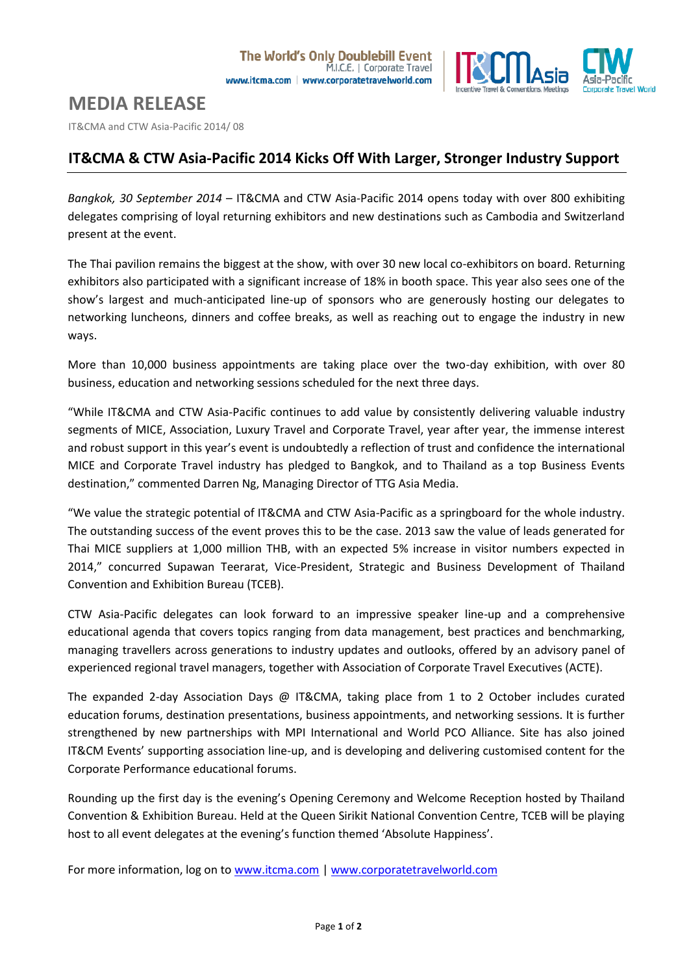

# **MEDIA RELEASE**

IT&CMA and CTW Asia-Pacific 2014/ 08

# **IT&CMA & CTW Asia-Pacific 2014 Kicks Off With Larger, Stronger Industry Support**

*Bangkok, 30 September 2014* – IT&CMA and CTW Asia-Pacific 2014 opens today with over 800 exhibiting delegates comprising of loyal returning exhibitors and new destinations such as Cambodia and Switzerland present at the event.

The Thai pavilion remains the biggest at the show, with over 30 new local co-exhibitors on board. Returning exhibitors also participated with a significant increase of 18% in booth space. This year also sees one of the show's largest and much-anticipated line-up of sponsors who are generously hosting our delegates to networking luncheons, dinners and coffee breaks, as well as reaching out to engage the industry in new ways.

More than 10,000 business appointments are taking place over the two-day exhibition, with over 80 business, education and networking sessions scheduled for the next three days.

"While IT&CMA and CTW Asia-Pacific continues to add value by consistently delivering valuable industry segments of MICE, Association, Luxury Travel and Corporate Travel, year after year, the immense interest and robust support in this year's event is undoubtedly a reflection of trust and confidence the international MICE and Corporate Travel industry has pledged to Bangkok, and to Thailand as a top Business Events destination," commented Darren Ng, Managing Director of TTG Asia Media.

"We value the strategic potential of IT&CMA and CTW Asia-Pacific as a springboard for the whole industry. The outstanding success of the event proves this to be the case. 2013 saw the value of leads generated for Thai MICE suppliers at 1,000 million THB, with an expected 5% increase in visitor numbers expected in 2014," concurred Supawan Teerarat, Vice-President, Strategic and Business Development of Thailand Convention and Exhibition Bureau (TCEB).

CTW Asia-Pacific delegates can look forward to an impressive speaker line-up and a comprehensive educational agenda that covers topics ranging from data management, best practices and benchmarking, managing travellers across generations to industry updates and outlooks, offered by an advisory panel of experienced regional travel managers, together with Association of Corporate Travel Executives (ACTE).

The expanded 2-day Association Days @ IT&CMA, taking place from 1 to 2 October includes curated education forums, destination presentations, business appointments, and networking sessions. It is further strengthened by new partnerships with MPI International and World PCO Alliance. Site has also joined IT&CM Events' supporting association line-up, and is developing and delivering customised content for the Corporate Performance educational forums.

Rounding up the first day is the evening's Opening Ceremony and Welcome Reception hosted by Thailand Convention & Exhibition Bureau. Held at the Queen Sirikit National Convention Centre, TCEB will be playing host to all event delegates at the evening's function themed 'Absolute Happiness'.

For more information, log on t[o www.itcma.com](http://www.itcma.com/) | [www.corporatetravelworld.com](http://www.corporatetravelworld.com/)